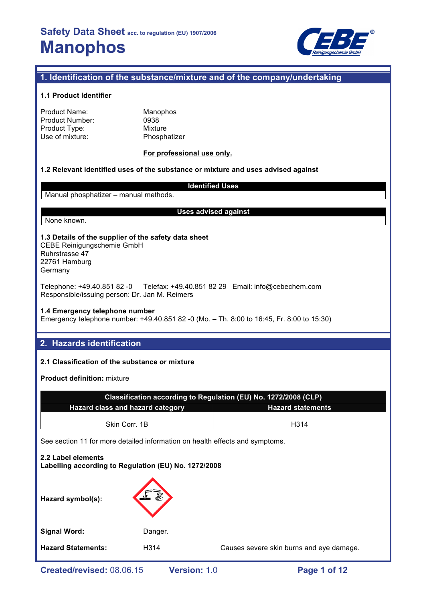

## **1. Identification of the substance/mixture and of the company/undertaking**

## **1.1 Product Identifier**

| Product Name:   |  |
|-----------------|--|
| Product Number: |  |
| Product Type:   |  |
| Use of mixture: |  |

**Manophos** 0938 **Mixture** Phosphatizer

## **For professional use only.**

## **1.2 Relevant identified uses of the substance or mixture and uses advised against**

## **Identified Uses**

Manual phosphatizer – manual methods.

#### **Uses advised against**

## None known.

#### **1.3 Details of the supplier of the safety data sheet** CEBE Reinigungschemie GmbH

Ruhrstrasse 47 22761 Hamburg Germany

Telephone: +49.40.851 82 -0 Telefax: +49.40.851 82 29 Email: info@cebechem.com Responsible/issuing person: Dr. Jan M. Reimers

#### **1.4 Emergency telephone number**

Emergency telephone number: +49.40.851 82 -0 (Mo. – Th. 8:00 to 16:45, Fr. 8:00 to 15:30)

## **2. Hazards identification**

## **2.1 Classification of the substance or mixture**

**Product definition:** mixture

| Classification according to Regulation (EU) No. 1272/2008 (CLP) |                          |  |  |  |
|-----------------------------------------------------------------|--------------------------|--|--|--|
| Hazard class and hazard category                                | <b>Hazard statements</b> |  |  |  |
|                                                                 |                          |  |  |  |
| Skin Corr, 1B                                                   | H314                     |  |  |  |

# **2.2 Label elements Labelling according to Regulation (EU) No. 1272/2008 Hazard symbol(s):** Signal Word: Danger. **Hazard Statements:** H314 Causes severe skin burns and eye damage.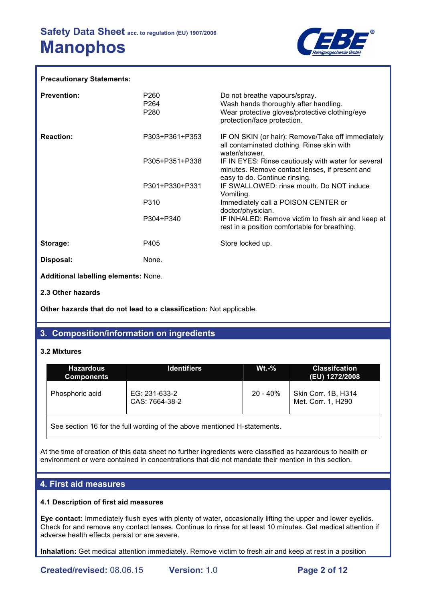

### **Precautionary Statements:**

| <b>Prevention:</b>                   | P <sub>260</sub><br>P264<br>P280 | Do not breathe vapours/spray.<br>Wash hands thoroughly after handling.<br>Wear protective gloves/protective clothing/eye<br>protection/face protection. |
|--------------------------------------|----------------------------------|---------------------------------------------------------------------------------------------------------------------------------------------------------|
| <b>Reaction:</b>                     | P303+P361+P353                   | IF ON SKIN (or hair): Remove/Take off immediately<br>all contaminated clothing. Rinse skin with<br>water/shower.                                        |
|                                      | P305+P351+P338                   | IF IN EYES: Rinse cautiously with water for several<br>minutes. Remove contact lenses, if present and<br>easy to do. Continue rinsing.                  |
|                                      | P301+P330+P331                   | IF SWALLOWED: rinse mouth. Do NOT induce<br>Vomiting.                                                                                                   |
|                                      | P310                             | Immediately call a POISON CENTER or<br>doctor/physician.                                                                                                |
|                                      | P304+P340                        | IF INHALED: Remove victim to fresh air and keep at<br>rest in a position comfortable for breathing.                                                     |
| Storage:                             | P405                             | Store locked up.                                                                                                                                        |
| Disposal:                            | None.                            |                                                                                                                                                         |
| Additional labelling elements: None. |                                  |                                                                                                                                                         |
| 2.3 Other hazards                    |                                  |                                                                                                                                                         |

**Other hazards that do not lead to a classification:** Not applicable.

## **3. Composition/information on ingredients**

#### **3.2 Mixtures**

| <b>Identifiers</b>              | $Wt.-\%$    | <b>Classifcation</b><br>(EU) 1272/2008    |
|---------------------------------|-------------|-------------------------------------------|
| EG: 231-633-2<br>CAS: 7664-38-2 | $20 - 40\%$ | Skin Corr. 1B, H314<br>Met. Corr. 1, H290 |
|                                 |             |                                           |

See section 16 for the full wording of the above mentioned H-statements.

At the time of creation of this data sheet no further ingredients were classified as hazardous to health or environment or were contained in concentrations that did not mandate their mention in this section.

## **4. First aid measures**

## **4.1 Description of first aid measures**

**Eye contact:** Immediately flush eyes with plenty of water, occasionally lifting the upper and lower eyelids. Check for and remove any contact lenses. Continue to rinse for at least 10 minutes. Get medical attention if adverse health effects persist or are severe.

**Inhalation:** Get medical attention immediately. Remove victim to fresh air and keep at rest in a position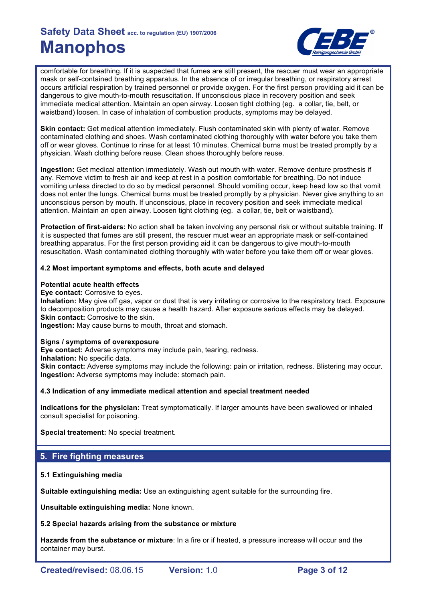

comfortable for breathing. If it is suspected that fumes are still present, the rescuer must wear an appropriate mask or self-contained breathing apparatus. In the absence of or irregular breathing, or respiratory arrest occurs artificial respiration by trained personnel or provide oxygen. For the first person providing aid it can be dangerous to give mouth-to-mouth resuscitation. If unconscious place in recovery position and seek immediate medical attention. Maintain an open airway. Loosen tight clothing (eg. a collar, tie, belt, or waistband) loosen. In case of inhalation of combustion products, symptoms may be delayed.

**Skin contact:** Get medical attention immediately. Flush contaminated skin with plenty of water. Remove contaminated clothing and shoes. Wash contaminated clothing thoroughly with water before you take them off or wear gloves. Continue to rinse for at least 10 minutes. Chemical burns must be treated promptly by a physician. Wash clothing before reuse. Clean shoes thoroughly before reuse.

**Ingestion:** Get medical attention immediately. Wash out mouth with water. Remove denture prosthesis if any. Remove victim to fresh air and keep at rest in a position comfortable for breathing. Do not induce vomiting unless directed to do so by medical personnel. Should vomiting occur, keep head low so that vomit does not enter the lungs. Chemical burns must be treated promptly by a physician. Never give anything to an unconscious person by mouth. If unconscious, place in recovery position and seek immediate medical attention. Maintain an open airway. Loosen tight clothing (eg. a collar, tie, belt or waistband).

**Protection of first-aiders:** No action shall be taken involving any personal risk or without suitable training. If it is suspected that fumes are still present, the rescuer must wear an appropriate mask or self-contained breathing apparatus. For the first person providing aid it can be dangerous to give mouth-to-mouth resuscitation. Wash contaminated clothing thoroughly with water before you take them off or wear gloves.

## **4.2 Most important symptoms and effects, both acute and delayed**

## **Potential acute health effects**

**Eye contact:** Corrosive to eyes.

**Inhalation:** May give off gas, vapor or dust that is very irritating or corrosive to the respiratory tract. Exposure to decomposition products may cause a health hazard. After exposure serious effects may be delayed. **Skin contact:** Corrosive to the skin.

**Ingestion:** May cause burns to mouth, throat and stomach.

## **Signs / symptoms of overexposure**

**Eye contact:** Adverse symptoms may include pain, tearing, redness.

**Inhalation:** No specific data.

**Skin contact:** Adverse symptoms may include the following: pain or irritation, redness. Blistering may occur. **Ingestion:** Adverse symptoms may include: stomach pain.

## **4.3 Indication of any immediate medical attention and special treatment needed**

**Indications for the physician:** Treat symptomatically. If larger amounts have been swallowed or inhaled consult specialist for poisoning.

**Special treatement:** No special treatment.

## **5. Fire fighting measures**

## **5.1 Extinguishing media**

**Suitable extinguishing media:** Use an extinguishing agent suitable for the surrounding fire.

**Unsuitable extinguishing media:** None known.

## **5.2 Special hazards arising from the substance or mixture**

**Hazards from the substance or mixture**: In a fire or if heated, a pressure increase will occur and the container may burst.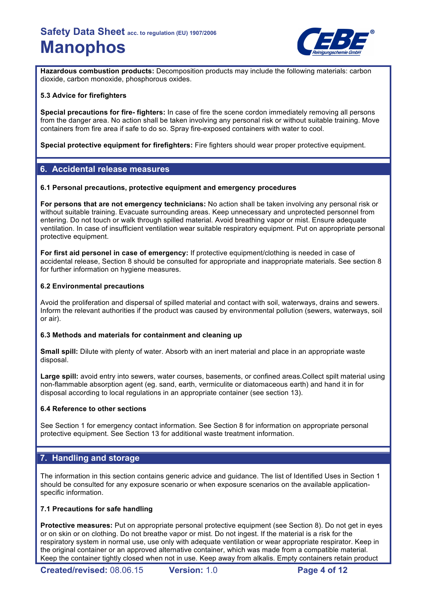

**Hazardous combustion products:** Decomposition products may include the following materials: carbon dioxide, carbon monoxide, phosphorous oxides.

## **5.3 Advice for firefighters**

**Special precautions for fire- fighters:** In case of fire the scene cordon immediately removing all persons from the danger area. No action shall be taken involving any personal risk or without suitable training. Move containers from fire area if safe to do so. Spray fire-exposed containers with water to cool.

**Special protective equipment for firefighters:** Fire fighters should wear proper protective equipment.

## **6. Accidental release measures**

### **6.1 Personal precautions, protective equipment and emergency procedures**

**For persons that are not emergency technicians:** No action shall be taken involving any personal risk or without suitable training. Evacuate surrounding areas. Keep unnecessary and unprotected personnel from entering. Do not touch or walk through spilled material. Avoid breathing vapor or mist. Ensure adequate ventilation. In case of insufficient ventilation wear suitable respiratory equipment. Put on appropriate personal protective equipment.

**For first aid personel in case of emergency:** If protective equipment/clothing is needed in case of accidental release, Section 8 should be consulted for appropriate and inappropriate materials. See section 8 for further information on hygiene measures.

### **6.2 Environmental precautions**

Avoid the proliferation and dispersal of spilled material and contact with soil, waterways, drains and sewers. Inform the relevant authorities if the product was caused by environmental pollution (sewers, waterways, soil or air).

## **6.3 Methods and materials for containment and cleaning up**

**Small spill:** Dilute with plenty of water. Absorb with an inert material and place in an appropriate waste disposal.

**Large spill:** avoid entry into sewers, water courses, basements, or confined areas.Collect spilt material using non-flammable absorption agent (eg. sand, earth, vermiculite or diatomaceous earth) and hand it in for disposal according to local regulations in an appropriate container (see section 13).

## **6.4 Reference to other sections**

See Section 1 for emergency contact information. See Section 8 for information on appropriate personal protective equipment. See Section 13 for additional waste treatment information.

## **7. Handling and storage**

The information in this section contains generic advice and guidance. The list of Identified Uses in Section 1 should be consulted for any exposure scenario or when exposure scenarios on the available applicationspecific information.

## **7.1 Precautions for safe handling**

**Protective measures:** Put on appropriate personal protective equipment (see Section 8). Do not get in eyes or on skin or on clothing. Do not breathe vapor or mist. Do not ingest. If the material is a risk for the respiratory system in normal use, use only with adequate ventilation or wear appropriate respirator. Keep in the original container or an approved alternative container, which was made from a compatible material. Keep the container tightly closed when not in use. Keep away from alkalis. Empty containers retain product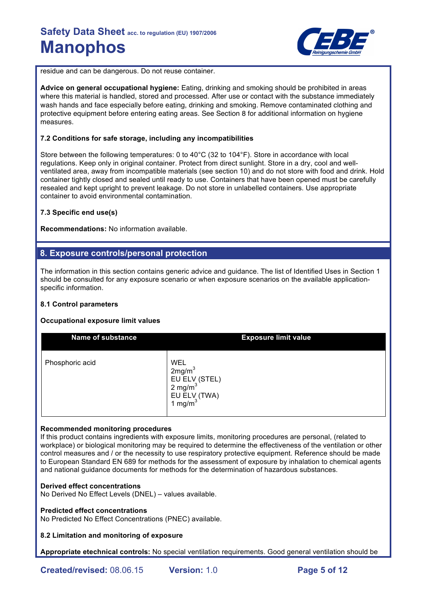

residue and can be dangerous. Do not reuse container.

**Advice on general occupational hygiene:** Eating, drinking and smoking should be prohibited in areas where this material is handled, stored and processed. After use or contact with the substance immediately wash hands and face especially before eating, drinking and smoking. Remove contaminated clothing and protective equipment before entering eating areas. See Section 8 for additional information on hygiene measures.

## **7.2 Conditions for safe storage, including any incompatibilities**

Store between the following temperatures: 0 to 40°C (32 to 104°F). Store in accordance with local regulations. Keep only in original container. Protect from direct sunlight. Store in a dry, cool and wellventilated area, away from incompatible materials (see section 10) and do not store with food and drink. Hold container tightly closed and sealed until ready to use. Containers that have been opened must be carefully resealed and kept upright to prevent leakage. Do not store in unlabelled containers. Use appropriate container to avoid environmental contamination.

### **7.3 Specific end use(s)**

**Recommendations:** No information available.

## **8. Exposure controls/personal protection**

The information in this section contains generic advice and guidance. The list of Identified Uses in Section 1 should be consulted for any exposure scenario or when exposure scenarios on the available applicationspecific information.

## **8.1 Control parameters**

## **Occupational exposure limit values**

| <b>Name of substance</b> | <b>Exposure limit value</b>                                                                                 |
|--------------------------|-------------------------------------------------------------------------------------------------------------|
| Phosphoric acid          | <b>WEL</b><br>2mg/m <sup>3</sup><br>EU ELV (STEL)<br>2 mg/m <sup>3</sup><br>EU ELV (TWA) $1 \text{ mg/m}^3$ |

## **Recommended monitoring procedures**

If this product contains ingredients with exposure limits, monitoring procedures are personal, (related to workplace) or biological monitoring may be required to determine the effectiveness of the ventilation or other control measures and / or the necessity to use respiratory protective equipment. Reference should be made to European Standard EN 689 for methods for the assessment of exposure by inhalation to chemical agents and national guidance documents for methods for the determination of hazardous substances.

#### **Derived effect concentrations**

No Derived No Effect Levels (DNEL) – values available.

#### **Predicted effect concentrations**

No Predicted No Effect Concentrations (PNEC) available.

### **8.2 Limitation and monitoring of exposure**

**Appropriate etechnical controls:** No special ventilation requirements. Good general ventilation should be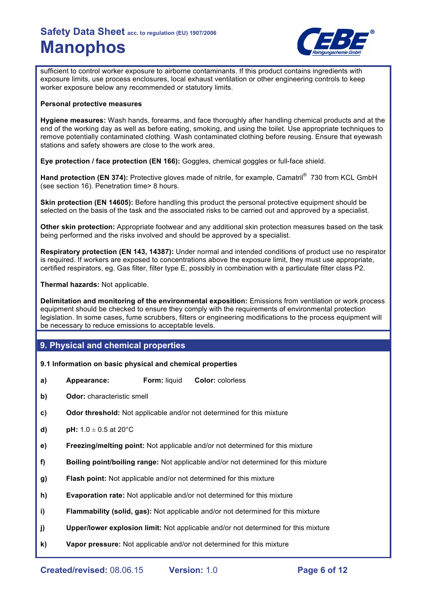

sufficient to control worker exposure to airborne contaminants. If this product contains ingredients with exposure limits, use process enclosures, local exhaust ventilation or other engineering controls to keep worker exposure below any recommended or statutory limits.

### **Personal protective measures**

**Hygiene measures:** Wash hands, forearms, and face thoroughly after handling chemical products and at the end of the working day as well as before eating, smoking, and using the toilet. Use appropriate techniques to remove potentially contaminated clothing. Wash contaminated clothing before reusing. Ensure that eyewash stations and safety showers are close to the work area.

**Eye protection / face protection (EN 166):** Goggles, chemical goggles or full-face shield.

Hand protection (EN 374): Protective gloves made of nitrile, for example, Camatril<sup>®</sup> 730 from KCL GmbH (see section 16). Penetration time> 8 hours.

**Skin protection (EN 14605):** Before handling this product the personal protective equipment should be selected on the basis of the task and the associated risks to be carried out and approved by a specialist.

**Other skin protection:** Appropriate footwear and any additional skin protection measures based on the task being performed and the risks involved and should be approved by a specialist.

**Respiratory protection (EN 143, 14387):** Under normal and intended conditions of product use no respirator is required. If workers are exposed to concentrations above the exposure limit, they must use appropriate, certified respirators, eg. Gas filter, filter type E, possibly in combination with a particulate filter class P2.

**Thermal hazards:** Not applicable.

**Delimitation and monitoring of the environmental exposition:** Emissions from ventilation or work process equipment should be checked to ensure they comply with the requirements of environmental protection legislation. In some cases, fume scrubbers, filters or engineering modifications to the process equipment will be necessary to reduce emissions to acceptable levels.

## **9. Physical and chemical properties**

## **9.1 Information on basic physical and chemical properties**

- **a) Appearance: Form:** liquid **Color:** colorless
- **b) Odor:** characteristic smell
- **c) Odor threshold:** Not applicable and/or not determined for this mixture
- **d) pH:**  $1.0 \pm 0.5$  at  $20^{\circ}$ C
- **e) Freezing/melting point:** Not applicable and/or not determined for this mixture
- **f) Boiling point/boiling range:** Not applicable and/or not determined for this mixture
- **g) Flash point:** Not applicable and/or not determined for this mixture
- **h) Evaporation rate:** Not applicable and/or not determined for this mixture
- **i) Flammability (solid, gas):** Not applicable and/or not determined for this mixture
- **j) Upper/lower explosion limit:** Not applicable and/or not determined for this mixture
- **k) Vapor pressure:** Not applicable and/or not determined for this mixture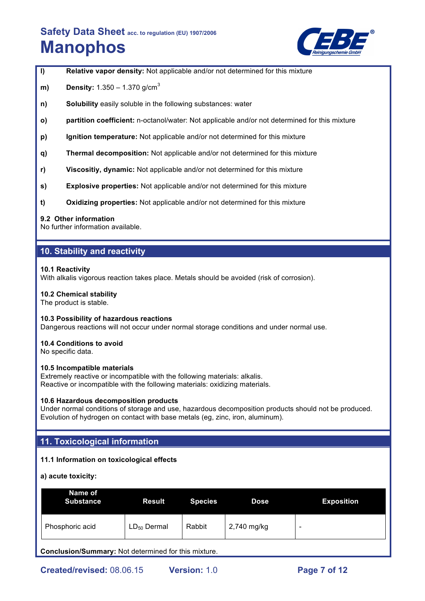

**l) Relative vapor density:** Not applicable and/or not determined for this mixture

- **m) Density:** 1.350 1.370 g/cm<sup>3</sup>
- **n) Solubility** easily soluble in the following substances: water
- **o) partition coefficient:** n-octanol/water: Not applicable and/or not determined for this mixture
- **p) Ignition temperature:** Not applicable and/or not determined for this mixture
- **q) Thermal decomposition:** Not applicable and/or not determined for this mixture
- **r) Viscositiy, dynamic:** Not applicable and/or not determined for this mixture
- **s) Explosive properties:** Not applicable and/or not determined for this mixture
- **t) Oxidizing properties:** Not applicable and/or not determined for this mixture

#### **9.2 Other information**

No further information available.

## **10. Stability and reactivity**

### **10.1 Reactivity**

With alkalis vigorous reaction takes place. Metals should be avoided (risk of corrosion).

### **10.2 Chemical stability**

The product is stable.

#### **10.3 Possibility of hazardous reactions**

Dangerous reactions will not occur under normal storage conditions and under normal use.

## **10.4 Conditions to avoid**

No specific data.

#### **10.5 Incompatible materials**

Extremely reactive or incompatible with the following materials: alkalis. Reactive or incompatible with the following materials: oxidizing materials.

#### **10.6 Hazardous decomposition products**

Under normal conditions of storage and use, hazardous decomposition products should not be produced. Evolution of hydrogen on contact with base metals (eg, zinc, iron, aluminum).

## **11. Toxicological information**

## **11.1 Information on toxicological effects**

**a) acute toxicity:**

| Name of<br><b>Substance</b> | <b>Result</b>    | <b>Species</b> | <b>Dose</b> | <b>Exposition</b> |
|-----------------------------|------------------|----------------|-------------|-------------------|
| Phosphoric acid             | $LD_{50}$ Dermal | Rabbit         | 2,740 mg/kg | -                 |

**Conclusion/Summary:** Not determined for this mixture.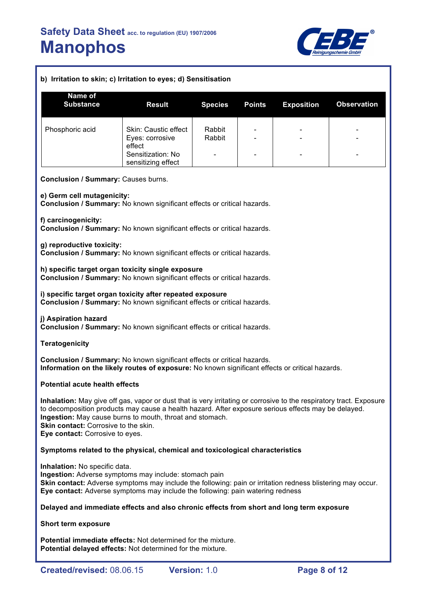

## **b) Irritation to skin; c) Irritation to eyes; d) Sensitisation**

| Name of<br><b>Substance</b> | <b>Result</b>                                     | <b>Species</b>   | <b>Points</b>                                                | <b>Exposition</b>                                    | <b>Observation</b>                                   |
|-----------------------------|---------------------------------------------------|------------------|--------------------------------------------------------------|------------------------------------------------------|------------------------------------------------------|
| Phosphoric acid             | Skin: Caustic effect<br>Eyes: corrosive<br>effect | Rabbit<br>Rabbit | $\qquad \qquad \blacksquare$<br>$\qquad \qquad \blacksquare$ | $\overline{\phantom{0}}$<br>$\overline{\phantom{0}}$ | $\overline{\phantom{0}}$<br>$\overline{\phantom{0}}$ |
|                             | Sensitization: No<br>sensitizing effect           |                  | $\overline{\phantom{0}}$                                     | $\qquad \qquad \blacksquare$                         | $\qquad \qquad \blacksquare$                         |

**Conclusion / Summary:** Causes burns.

**e) Germ cell mutagenicity:**

**Conclusion / Summary:** No known significant effects or critical hazards.

**f) carcinogenicity:**

**Conclusion / Summary:** No known significant effects or critical hazards.

**g) reproductive toxicity:**

**Conclusion / Summary:** No known significant effects or critical hazards.

**h) specific target organ toxicity single exposure**

**Conclusion / Summary:** No known significant effects or critical hazards.

**i) specific target organ toxicity after repeated exposure Conclusion / Summary:** No known significant effects or critical hazards.

**j) Aspiration hazard Conclusion / Summary:** No known significant effects or critical hazards.

**Teratogenicity**

**Conclusion / Summary:** No known significant effects or critical hazards. **Information on the likely routes of exposure:** No known significant effects or critical hazards.

## **Potential acute health effects**

**Inhalation:** May give off gas, vapor or dust that is very irritating or corrosive to the respiratory tract. Exposure to decomposition products may cause a health hazard. After exposure serious effects may be delayed. **Ingestion:** May cause burns to mouth, throat and stomach. **Skin contact:** Corrosive to the skin. **Eye contact:** Corrosive to eyes.

## **Symptoms related to the physical, chemical and toxicological characteristics**

**Inhalation:** No specific data. **Ingestion:** Adverse symptoms may include: stomach pain **Skin contact:** Adverse symptoms may include the following: pain or irritation redness blistering may occur. **Eye contact:** Adverse symptoms may include the following: pain watering redness

## **Delayed and immediate effects and also chronic effects from short and long term exposure**

**Short term exposure**

**Potential immediate effects:** Not determined for the mixture. **Potential delayed effects:** Not determined for the mixture.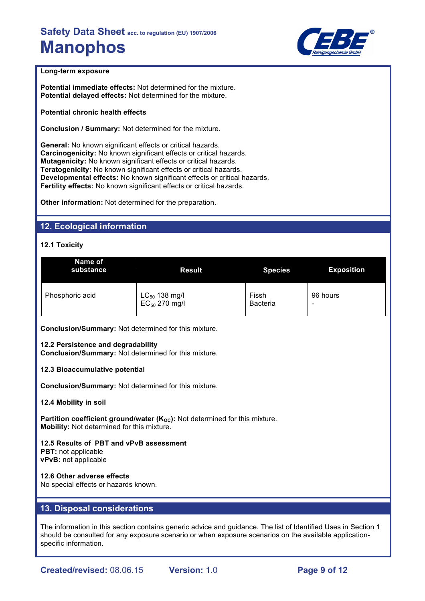

## **Long-term exposure**

**Potential immediate effects:** Not determined for the mixture. **Potential delayed effects:** Not determined for the mixture.

**Potential chronic health effects**

**Conclusion / Summary:** Not determined for the mixture.

**General:** No known significant effects or critical hazards. **Carcinogenicity:** No known significant effects or critical hazards. **Mutagenicity:** No known significant effects or critical hazards. **Teratogenicity:** No known significant effects or critical hazards. **Developmental effects:** No known significant effects or critical hazards. **Fertility effects:** No known significant effects or critical hazards.

**Other information:** Not determined for the preparation.

## **12. Ecological information**

## **12.1 Toxicity**

| Name of<br>substance | <b>Result</b>      | <b>Species</b>  | <b>Exposition</b> |
|----------------------|--------------------|-----------------|-------------------|
| Phosphoric acid      | $LC_{50}$ 138 mg/l | Fissh           | 96 hours          |
|                      | $EC_{50}$ 270 mg/l | <b>Bacteria</b> | -                 |

**Conclusion/Summary:** Not determined for this mixture.

#### **12.2 Persistence and degradability**

**Conclusion/Summary:** Not determined for this mixture.

#### **12.3 Bioaccumulative potential**

**Conclusion/Summary:** Not determined for this mixture.

#### **12.4 Mobility in soil**

**Partition coefficient ground/water (K<sub>OC</sub>):** Not determined for this mixture. **Mobility:** Not determined for this mixture.

**12.5 Results of PBT and vPvB assessment PBT:** not applicable **vPvB:** not applicable

## **12.6 Other adverse effects**

No special effects or hazards known.

## **13. Disposal considerations**

The information in this section contains generic advice and guidance. The list of Identified Uses in Section 1 should be consulted for any exposure scenario or when exposure scenarios on the available applicationspecific information.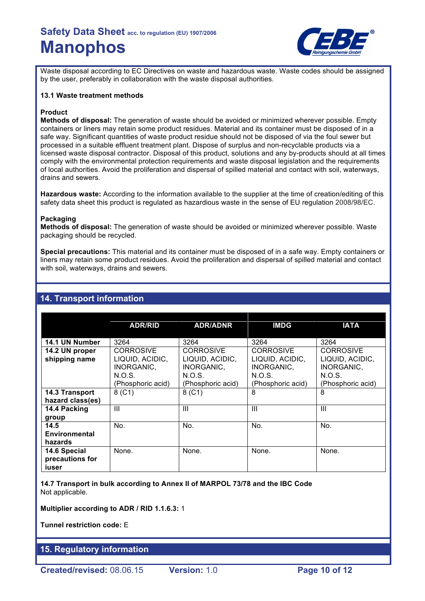

Waste disposal according to EC Directives on waste and hazardous waste. Waste codes should be assigned by the user, preferably in collaboration with the waste disposal authorities.

### **13.1 Waste treatment methods**

## **Product**

**Methods of disposal:** The generation of waste should be avoided or minimized wherever possible. Empty containers or liners may retain some product residues. Material and its container must be disposed of in a safe way. Significant quantities of waste product residue should not be disposed of via the foul sewer but processed in a suitable effluent treatment plant. Dispose of surplus and non-recyclable products via a licensed waste disposal contractor. Disposal of this product, solutions and any by-products should at all times comply with the environmental protection requirements and waste disposal legislation and the requirements of local authorities. Avoid the proliferation and dispersal of spilled material and contact with soil, waterways, drains and sewers.

**Hazardous waste:** According to the information available to the supplier at the time of creation/editing of this safety data sheet this product is regulated as hazardious waste in the sense of EU regulation 2008/98/EC.

## **Packaging**

**Methods of disposal:** The generation of waste should be avoided or minimized wherever possible. Waste packaging should be recycled.

**Special precautions:** This material and its container must be disposed of in a safe way. Empty containers or liners may retain some product residues. Avoid the proliferation and dispersal of spilled material and contact with soil, waterways, drains and sewers.

## **14. Transport information**

|                                          | <b>ADR/RID</b>                                               | <b>ADR/ADNR</b>                                              | <b>IMDG</b>                                                  | <b>IATA</b>                                                  |
|------------------------------------------|--------------------------------------------------------------|--------------------------------------------------------------|--------------------------------------------------------------|--------------------------------------------------------------|
| 14.1 UN Number                           | 3264                                                         | 3264                                                         | 3264                                                         | 3264                                                         |
| 14.2 UN proper                           | <b>CORROSIVE</b>                                             | <b>CORROSIVE</b>                                             | <b>CORROSIVE</b>                                             | <b>CORROSIVE</b>                                             |
| shipping name                            | LIQUID, ACIDIC,<br>INORGANIC,<br>N.O.S.<br>(Phosphoric acid) | LIQUID, ACIDIC,<br>INORGANIC,<br>N.O.S.<br>(Phosphoric acid) | LIQUID, ACIDIC,<br>INORGANIC,<br>N.O.S.<br>(Phosphoric acid) | LIQUID, ACIDIC,<br>INORGANIC,<br>N.O.S.<br>(Phosphoric acid) |
| 14.3 Transport<br>hazard class(es)       | 8(C1)                                                        | 8( C1)                                                       | 8                                                            | 8                                                            |
| 14.4 Packing<br>group                    | $\mathbf{III}$                                               | $\mathbf{III}$                                               | Ш                                                            | Ш                                                            |
| 14.5<br>Environmental<br>hazards         | No.                                                          | No.                                                          | No.                                                          | No.                                                          |
| 14.6 Special<br>precautions for<br>iuser | None.                                                        | None.                                                        | None.                                                        | None.                                                        |

**14.7 Transport in bulk according to Annex II of MARPOL 73/78 and the IBC Code** Not applicable.

**Multiplier according to ADR / RID 1.1.6.3:** 1

**Tunnel restriction code:** E

## **15. Regulatory information**

**Created/revised:** 08.06.15 **Version:** 1.0 **Page 10 of 12**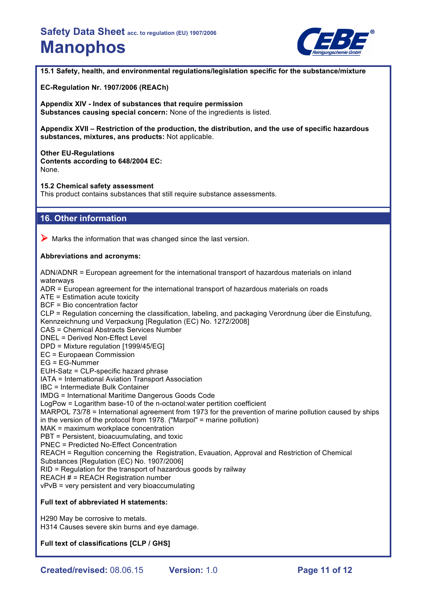

**15.1 Safety, health, and environmental regulations/legislation specific for the substance/mixture**

**EC-Regulation Nr. 1907/2006 (REACh)**

**Appendix XIV - Index of substances that require permission Substances causing special concern:** None of the ingredients is listed.

**Appendix XVII – Restriction of the production, the distribution, and the use of specific hazardous substances, mixtures, ans products:** Not applicable.

#### **Other EU-Regulations**

**Contents according to 648/2004 EC:** None.

**15.2 Chemical safety assessment**

This product contains substances that still require substance assessments.

## **16. Other information**

 $\triangleright$  Marks the information that was changed since the last version.

### **Abbreviations and acronyms:**

ADN/ADNR = European agreement for the international transport of hazardous materials on inland waterways ADR = European agreement for the international transport of hazardous materials on roads ATE = Estimation acute toxicity BCF = Bio concentration factor CLP = Regulation concerning the classification, labeling, and packaging Verordnung über die Einstufung, Kennzeichnung und Verpackung [Regulation (EC) No. 1272/2008] CAS = Chemical Abstracts Services Number DNEL = Derived Non-Effect Level DPD = Mixture regulation [1999/45/EG] EC = Europaean Commission EG = EG-Nummer EUH-Satz = CLP-specific hazard phrase IATA = International Aviation Transport Association IBC = Intermediate Bulk Container IMDG = International Maritime Dangerous Goods Code LogPow = Logarithm base-10 of the n-octanol:water pertition coefficient MARPOL 73/78 = International agreement from 1973 for the prevention of marine pollution caused by ships in the version of the protocol from 1978. ("Marpol" = marine pollution) MAK = maximum workplace concentration PBT = Persistent, bioacuumulating, and toxic PNEC = Predicted No-Effect Concentration REACH = Regultion concerning the Registration, Evauation, Approval and Restriction of Chemical Substances [Regulation (EC) No. 1907/2006] RID = Regulation for the transport of hazardous goods by railway REACH  $#$  = REACH Registration number vPvB = very persistent and very bioaccumulating **Full text of abbreviated H statements:** H290 May be corrosive to metals.

H314 Causes severe skin burns and eye damage.

**Full text of classifications [CLP / GHS]**